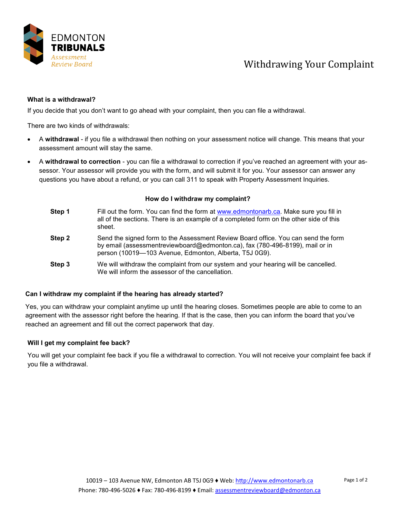

## Withdrawing Your Complaint

#### **What is a withdrawal?**

If you decide that you don't want to go ahead with your complaint, then you can file a withdrawal.

There are two kinds of withdrawals:

- A **withdrawal** if you file a withdrawal then nothing on your assessment notice will change. This means that your assessment amount will stay the same.
- A **withdrawal to correction** you can file a withdrawal to correction if you've reached an agreement with your assessor. Your assessor will provide you with the form, and will submit it for you. Your assessor can answer any questions you have about a refund, or you can call 311 to speak with Property Assessment Inquiries.

#### **How do I withdraw my complaint?**

| Step 1 | Fill out the form. You can find the form at www.edmontonarb.ca. Make sure you fill in<br>all of the sections. There is an example of a completed form on the other side of this<br>sheet.                                   |
|--------|-----------------------------------------------------------------------------------------------------------------------------------------------------------------------------------------------------------------------------|
| Step 2 | Send the signed form to the Assessment Review Board office. You can send the form<br>by email (assessmentreviewboard@edmonton.ca), fax (780-496-8199), mail or in<br>person (10019-103 Avenue, Edmonton, Alberta, T5J 0G9). |
| Step 3 | We will withdraw the complaint from our system and your hearing will be cancelled.<br>We will inform the assessor of the cancellation.                                                                                      |

### **Can I withdraw my complaint if the hearing has already started?**

Yes, you can withdraw your complaint anytime up until the hearing closes. Sometimes people are able to come to an agreement with the assessor right before the hearing. If that is the case, then you can inform the board that you've reached an agreement and fill out the correct paperwork that day.

### **Will I get my complaint fee back?**

You will get your complaint fee back if you file a withdrawal to correction. You will not receive your complaint fee back if you file a withdrawal.